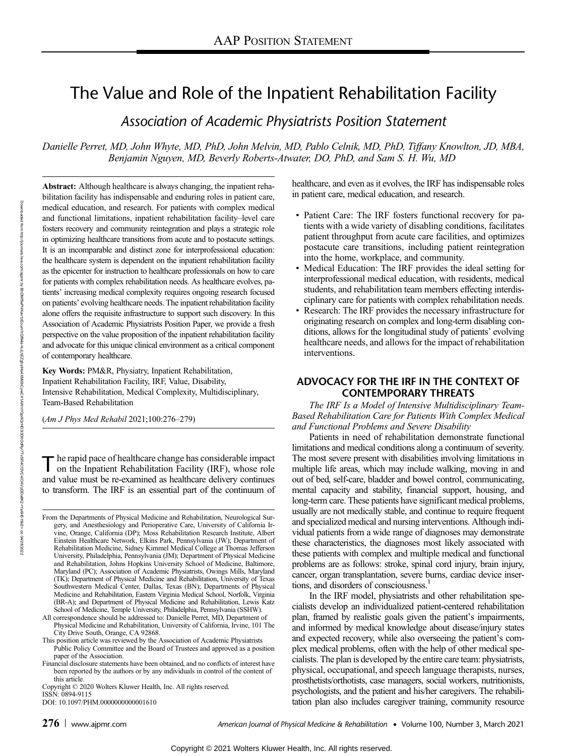# The Value and Role of the Inpatient Rehabilitation Facility

Association of Academic Physiatrists Position Statement

Danielle Perret, MD, John Whyte, MD, PhD, John Melvin, MD, Pablo Celnik, MD, PhD, Tiffany Knowlton, JD, MBA, Benjamin Nguyen, MD, Beverly Roberts-Atwater, DO, PhD, and Sam S. H. Wu, MD

Abstract: Although healthcare is always changing, the inpatient rehabilitation facility has indispensable and enduring roles in patient care, medical education, and research. For patients with complex medical and functional limitations, inpatient rehabilitation facility–level care fosters recovery and community reintegration and plays a strategic role in optimizing healthcare transitions from acute and to postacute settings. It is an incomparable and distinct zone for interprofessional education: the healthcare system is dependent on the inpatient rehabilitation facility as the epicenter for instruction to healthcare professionals on how to care for patients with complex rehabilitation needs. As healthcare evolves, patients' increasing medical complexity requires ongoing research focused on patients' evolving healthcare needs. The inpatient rehabilitation facility alone offers the requisite infrastructure to support such discovery. In this Association of Academic Physiatrists Position Paper, we provide a fresh perspective on the value proposition of the inpatient rehabilitation facility and advocate for this unique clinical environment as a critical component of contemporary healthcare.

Key Words: PM&R, Physiatry, Inpatient Rehabilitation, Inpatient Rehabilitation Facility, IRF, Value, Disability, Intensive Rehabilitation, Medical Complexity, Multidisciplinary, Team-Based Rehabilitation

(Am J Phys Med Rehabil 2021;100:276–279)

the rapid pace of healthcare change has considerable impact on the Inpatient Rehabilitation Facility (IRF), whose role and value must be re-examined as healthcare delivery continues to transform. The IRF is an essential part of the continuum of

- This position article was reviewed by the Association of Academic Physiatrists Public Policy Committee and the Board of Trustees and approved as a position paper of the Association.
- Financial disclosure statements have been obtained, and no conflicts of interest have been reported by the authors or by any individuals in control of the content of this article.

DOI: 10.1097/PHM.0000000000001610

interventions.

The most severe present with disabilities involving limitations in multiple life areas, which may include walking, moving in and out of bed, self-care, bladder and bowel control, communicating, mental capacity and stability, financial support, housing, and long-term care. These patients have significant medical problems, usually are not medically stable, and continue to require frequent and specialized medical and nursing interventions. Although individual patients from a wide range of diagnoses may demonstrate these characteristics, the diagnoses most likely associated with these patients with complex and multiple medical and functional problems are as follows: stroke, spinal cord injury, brain injury, cancer, organ transplantation, severe burns, cardiac device insertions, and disorders of consciousness.<sup>1</sup>

healthcare, and even as it evolves, the IRF has indispensable roles

• Patient Care: The IRF fosters functional recovery for patients with a wide variety of disabling conditions, facilitates patient throughput from acute care facilities, and optimizes postacute care transitions, including patient reintegration

• Medical Education: The IRF provides the ideal setting for interprofessional medical education, with residents, medical students, and rehabilitation team members effecting interdisciplinary care for patients with complex rehabilitation needs. • Research: The IRF provides the necessary infrastructure for originating research on complex and long-term disabling conditions, allows for the longitudinal study of patients' evolving healthcare needs, and allows for the impact of rehabilitation

ADVOCACY FOR THE IRF IN THE CONTEXT OF CONTEMPORARY THREATS The IRF Is a Model of Intensive Multidisciplinary Team-Based Rehabilitation Care for Patients With Complex Medical

Patients in need of rehabilitation demonstrate functional limitations and medical conditions along a continuum of severity.

and Functional Problems and Severe Disability

in patient care, medical education, and research.

into the home, workplace, and community.

In the IRF model, physiatrists and other rehabilitation specialists develop an individualized patient-centered rehabilitation plan, framed by realistic goals given the patient's impairments, and informed by medical knowledge about disease/injury states and expected recovery, while also overseeing the patient's complex medical problems, often with the help of other medical specialists. The plan is developed by the entire care team: physiatrists, physical, occupational, and speech language therapists, nurses, prosthetists/orthotists, case managers, social workers, nutritionists, psychologists, and the patient and his/her caregivers. The rehabilitation plan also includes caregiver training, community resource

From the Departments of Physical Medicine and Rehabilitation, Neurological Surgery, and Anesthesiology and Perioperative Care, University of California Irvine, Orange, California (DP); Moss Rehabilitation Research Institute, Albert Einstein Healthcare Network, Elkins Park, Pennsylvania (JW); Department of Rehabilitation Medicine, Sidney Kimmel Medical College at Thomas Jefferson University, Philadelphia, Pennsylvania (JM); Department of Physical Medicine and Rehabilitation, Johns Hopkins University School of Medicine, Baltimore, Maryland (PC); Association of Academic Physiatrists, Owings Mills, Maryland (TK); Department of Physical Medicine and Rehabilitation, University of Texas Southwestern Medical Center, Dallas, Texas (BN); Departments of Physical Medicine and Rehabilitation, Eastern Virginia Medical School, Norfolk, Virginia (BR-A); and Department of Physical Medicine and Rehabilitation, Lewis Katz School of Medicine, Temple University, Philadelphia, Pennsylvania (SSHW).

All correspondence should be addressed to: Danielle Perret, MD, Department of Physical Medicine and Rehabilitation, University of California, Irvine, 101 The City Drive South, Orange, CA 92868.

Copyright © 2020 Wolters Kluwer Health, Inc. All rights reserved. ISSN: 0894-9115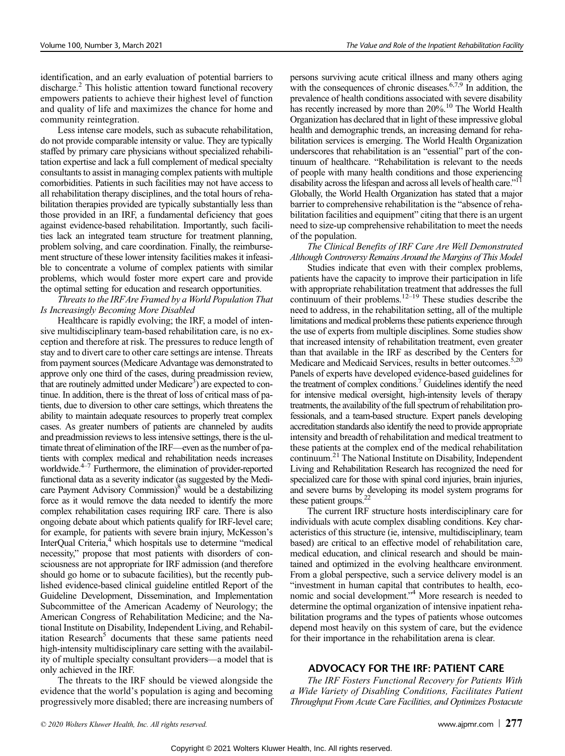identification, and an early evaluation of potential barriers to discharge.<sup>2</sup> This holistic attention toward functional recovery empowers patients to achieve their highest level of function and quality of life and maximizes the chance for home and community reintegration.

Less intense care models, such as subacute rehabilitation, do not provide comparable intensity or value. They are typically staffed by primary care physicians without specialized rehabilitation expertise and lack a full complement of medical specialty consultants to assist in managing complex patients with multiple comorbidities. Patients in such facilities may not have access to all rehabilitation therapy disciplines, and the total hours of rehabilitation therapies provided are typically substantially less than those provided in an IRF, a fundamental deficiency that goes against evidence-based rehabilitation. Importantly, such facilities lack an integrated team structure for treatment planning, problem solving, and care coordination. Finally, the reimbursement structure of these lower intensity facilities makes it infeasible to concentrate a volume of complex patients with similar problems, which would foster more expert care and provide the optimal setting for education and research opportunities.

### Threats to the IRFAre Framed by a World Population That Is Increasingly Becoming More Disabled

Healthcare is rapidly evolving; the IRF, a model of intensive multidisciplinary team-based rehabilitation care, is no exception and therefore at risk. The pressures to reduce length of stay and to divert care to other care settings are intense. Threats from payment sources (Medicare Advantage was demonstrated to approve only one third of the cases, during preadmission review, that are routinely admitted under Medicare<sup>3</sup>) are expected to continue. In addition, there is the threat of loss of critical mass of patients, due to diversion to other care settings, which threatens the ability to maintain adequate resources to properly treat complex cases. As greater numbers of patients are channeled by audits and preadmission reviews to less intensive settings, there is the ultimate threat of elimination of the IRF—even as the number of patients with complex medical and rehabilitation needs increases worldwide.<sup>4–7</sup> Furthermore, the elimination of provider-reported functional data as a severity indicator (as suggested by the Medicare Payment Advisory Commission)<sup>8</sup> would be a destabilizing force as it would remove the data needed to identify the more complex rehabilitation cases requiring IRF care. There is also ongoing debate about which patients qualify for IRF-level care; for example, for patients with severe brain injury, McKesson's InterQual Criteria, $4$  which hospitals use to determine "medical necessity," propose that most patients with disorders of consciousness are not appropriate for IRF admission (and therefore should go home or to subacute facilities), but the recently published evidence-based clinical guideline entitled Report of the Guideline Development, Dissemination, and Implementation Subcommittee of the American Academy of Neurology; the American Congress of Rehabilitation Medicine; and the National Institute on Disability, Independent Living, and Rehabilitation Research<sup>3</sup> documents that these same patients need high-intensity multidisciplinary care setting with the availability of multiple specialty consultant providers—a model that is only achieved in the IRF.

The threats to the IRF should be viewed alongside the evidence that the world's population is aging and becoming progressively more disabled; there are increasing numbers of persons surviving acute critical illness and many others aging with the consequences of chronic diseases.<sup>6,7,9</sup> In addition, the prevalence of health conditions associated with severe disability has recently increased by more than 20%.<sup>10</sup> The World Health Organization has declared that in light of these impressive global health and demographic trends, an increasing demand for rehabilitation services is emerging. The World Health Organization underscores that rehabilitation is an "essential" part of the continuum of healthcare. "Rehabilitation is relevant to the needs of people with many health conditions and those experiencing disability across the lifespan and across all levels of health care."<sup>11</sup> Globally, the World Health Organization has stated that a major barrier to comprehensive rehabilitation is the "absence of rehabilitation facilities and equipment" citing that there is an urgent need to size-up comprehensive rehabilitation to meet the needs of the population.

#### The Clinical Benefits of IRF Care Are Well Demonstrated Although Controversy Remains Around the Margins of This Model

Studies indicate that even with their complex problems, patients have the capacity to improve their participation in life with appropriate rehabilitation treatment that addresses the full continuum of their problems.<sup>12–19</sup> These studies describe the need to address, in the rehabilitation setting, all of the multiple limitations and medical problems these patients experience through the use of experts from multiple disciplines. Some studies show that increased intensity of rehabilitation treatment, even greater than that available in the IRF as described by the Centers for Medicare and Medicaid Services, results in better outcomes.<sup>5,20</sup> Panels of experts have developed evidence-based guidelines for the treatment of complex conditions.<sup>7</sup> Guidelines identify the need for intensive medical oversight, high-intensity levels of therapy treatments, the availability of the full spectrum of rehabilitation professionals, and a team-based structure. Expert panels developing accreditation standards also identify the need to provide appropriate intensity and breadth of rehabilitation and medical treatment to these patients at the complex end of the medical rehabilitation continuum.21 The National Institute on Disability, Independent Living and Rehabilitation Research has recognized the need for specialized care for those with spinal cord injuries, brain injuries, and severe burns by developing its model system programs for these patient groups.<sup>22</sup>

The current IRF structure hosts interdisciplinary care for individuals with acute complex disabling conditions. Key characteristics of this structure (ie, intensive, multidisciplinary, team based) are critical to an effective model of rehabilitation care, medical education, and clinical research and should be maintained and optimized in the evolving healthcare environment. From a global perspective, such a service delivery model is an "investment in human capital that contributes to health, economic and social development." <sup>4</sup> More research is needed to determine the optimal organization of intensive inpatient rehabilitation programs and the types of patients whose outcomes depend most heavily on this system of care, but the evidence for their importance in the rehabilitation arena is clear.

# ADVOCACY FOR THE IRF: PATIENT CARE

The IRF Fosters Functional Recovery for Patients With a Wide Variety of Disabling Conditions, Facilitates Patient Throughput From Acute Care Facilities, and Optimizes Postacute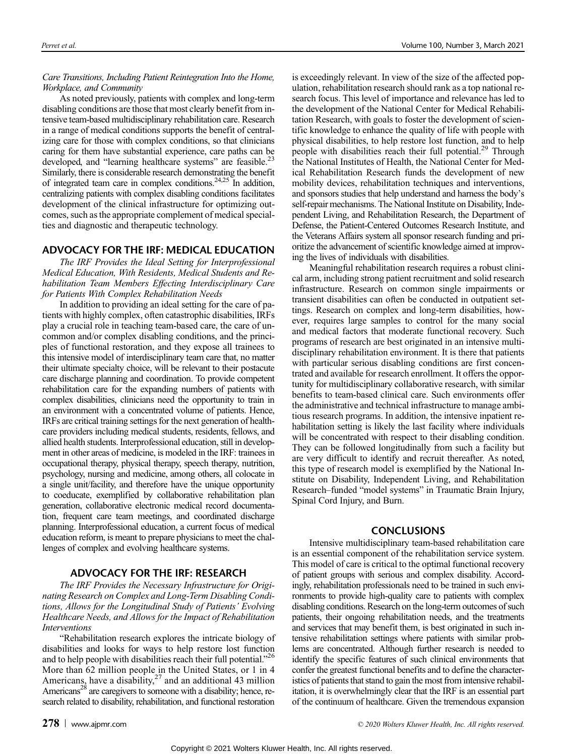#### Care Transitions, Including Patient Reintegration Into the Home, Workplace, and Community

As noted previously, patients with complex and long-term disabling conditions are those that most clearly benefit from intensive team-based multidisciplinary rehabilitation care. Research in a range of medical conditions supports the benefit of centralizing care for those with complex conditions, so that clinicians caring for them have substantial experience, care paths can be developed, and "learning healthcare systems" are feasible.<sup>23</sup> Similarly, there is considerable research demonstrating the benefit of integrated team care in complex conditions.<sup>24,25</sup> In addition, centralizing patients with complex disabling conditions facilitates development of the clinical infrastructure for optimizing outcomes, such as the appropriate complement of medical specialties and diagnostic and therapeutic technology.

#### ADVOCACY FOR THE IRF: MEDICAL EDUCATION

The IRF Provides the Ideal Setting for Interprofessional Medical Education, With Residents, Medical Students and Rehabilitation Team Members Effecting Interdisciplinary Care for Patients With Complex Rehabilitation Needs

In addition to providing an ideal setting for the care of patients with highly complex, often catastrophic disabilities, IRFs play a crucial role in teaching team-based care, the care of uncommon and/or complex disabling conditions, and the principles of functional restoration, and they expose all trainees to this intensive model of interdisciplinary team care that, no matter their ultimate specialty choice, will be relevant to their postacute care discharge planning and coordination. To provide competent rehabilitation care for the expanding numbers of patients with complex disabilities, clinicians need the opportunity to train in an environment with a concentrated volume of patients. Hence, IRFs are critical training settings for the next generation of healthcare providers including medical students, residents, fellows, and allied health students. Interprofessional education, still in development in other areas of medicine, is modeled in the IRF: trainees in occupational therapy, physical therapy, speech therapy, nutrition, psychology, nursing and medicine, among others, all colocate in a single unit/facility, and therefore have the unique opportunity to coeducate, exemplified by collaborative rehabilitation plan generation, collaborative electronic medical record documentation, frequent care team meetings, and coordinated discharge planning. Interprofessional education, a current focus of medical education reform, is meant to prepare physicians to meet the challenges of complex and evolving healthcare systems.

### ADVOCACY FOR THE IRF: RESEARCH

The IRF Provides the Necessary Infrastructure for Originating Research on Complex and Long-Term Disabling Conditions, Allows for the Longitudinal Study of Patients' Evolving Healthcare Needs, and Allows for the Impact of Rehabilitation Interventions

"Rehabilitation research explores the intricate biology of disabilities and looks for ways to help restore lost function and to help people with disabilities reach their full potential."<sup>26</sup> More than 62 million people in the United States, or 1 in 4 Americans, have a disability,  $27$  and an additional 43 million Americans<sup>28</sup> are caregivers to someone with a disability; hence, research related to disability, rehabilitation, and functional restoration

is exceedingly relevant. In view of the size of the affected population, rehabilitation research should rank as a top national research focus. This level of importance and relevance has led to the development of the National Center for Medical Rehabilitation Research, with goals to foster the development of scientific knowledge to enhance the quality of life with people with physical disabilities, to help restore lost function, and to help people with disabilities reach their full potential.<sup>29</sup> Through the National Institutes of Health, the National Center for Medical Rehabilitation Research funds the development of new mobility devices, rehabilitation techniques and interventions, and sponsors studies that help understand and harness the body's self-repair mechanisms. The National Institute on Disability, Independent Living, and Rehabilitation Research, the Department of Defense, the Patient-Centered Outcomes Research Institute, and the Veterans Affairs system all sponsor research funding and prioritize the advancement of scientific knowledge aimed at improving the lives of individuals with disabilities.

Meaningful rehabilitation research requires a robust clinical arm, including strong patient recruitment and solid research infrastructure. Research on common single impairments or transient disabilities can often be conducted in outpatient settings. Research on complex and long-term disabilities, however, requires large samples to control for the many social and medical factors that moderate functional recovery. Such programs of research are best originated in an intensive multidisciplinary rehabilitation environment. It is there that patients with particular serious disabling conditions are first concentrated and available for research enrollment. It offers the opportunity for multidisciplinary collaborative research, with similar benefits to team-based clinical care. Such environments offer the administrative and technical infrastructure to manage ambitious research programs. In addition, the intensive inpatient rehabilitation setting is likely the last facility where individuals will be concentrated with respect to their disabling condition. They can be followed longitudinally from such a facility but are very difficult to identify and recruit thereafter. As noted, this type of research model is exemplified by the National Institute on Disability, Independent Living, and Rehabilitation Research–funded "model systems" in Traumatic Brain Injury, Spinal Cord Injury, and Burn.

#### **CONCLUSIONS**

Intensive multidisciplinary team-based rehabilitation care is an essential component of the rehabilitation service system. This model of care is critical to the optimal functional recovery of patient groups with serious and complex disability. Accordingly, rehabilitation professionals need to be trained in such environments to provide high-quality care to patients with complex disabling conditions. Research on the long-term outcomes of such patients, their ongoing rehabilitation needs, and the treatments and services that may benefit them, is best originated in such intensive rehabilitation settings where patients with similar problems are concentrated. Although further research is needed to identify the specific features of such clinical environments that confer the greatest functional benefits and to define the characteristics of patients that stand to gain the most from intensive rehabilitation, it is overwhelmingly clear that the IRF is an essential part of the continuum of healthcare. Given the tremendous expansion